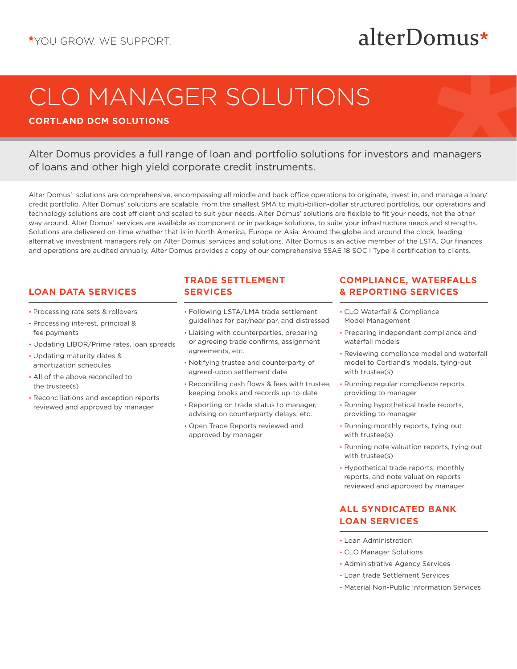## alterDomus\*

# CLO MANAGER SOLUTIONS

### **CORTLAND DCM SOLUTIONS**

Alter Domus provides a full range of loan and portfolio solutions for investors and managers of loans and other high yield corporate credit instruments.

Alter Domus' solutions are comprehensive, encompassing all middle and back office operations to originate, invest in, and manage a loan/ credit portfolio. Alter Domus' solutions are scalable, from the smallest SMA to multi-billion-dollar structured portfolios, our operations and technology solutions are cost efficient and scaled to suit your needs. Alter Domus' solutions are flexible to fit your needs, not the other way around. Alter Domus' services are available as component or in package solutions, to suite your infrastructure needs and strengths. Solutions are delivered on-time whether that is in North America, Europe or Asia. Around the globe and around the clock, leading alternative investment managers rely on Alter Domus' services and solutions. Alter Domus is an active member of the LSTA. Our finances and operations are audited annually. Alter Domus provides a copy of our comprehensive SSAE 18 SOC I Type II certification to clients.

### **LOAN DATA SERVICES**

- Processing rate sets & rollovers
- Processing interest, principal & fee payments
- Updating LIBOR/Prime rates, loan spreads
- Updating maturity dates & amortization schedules
- All of the above reconciled to the trustee(s)
- Reconciliations and exception reports reviewed and approved by manager

### **TRADE SETTLEMENT SERVICES**

- Following LSTA/LMA trade settlement guidelines for par/near par, and distressed
- Liaising with counterparties, preparing or agreeing trade confirms, assignment agreements, etc.
- Notifying trustee and counterparty of agreed-upon settlement date
- Reconciling cash flows & fees with trustee, keeping books and records up-to-date
- Reporting on trade status to manager, advising on counterparty delays, etc.
- Open Trade Reports reviewed and approved by manager

### **COMPLIANCE, WATERFALLS & REPORTING SERVICES**

- CLO Waterfall & Compliance Model Management
- Preparing independent compliance and waterfall models
- Reviewing compliance model and waterfall model to Cortland's models, tying-out with trustee(s)
- Running regular compliance reports, providing to manager
- Running hypothetical trade reports, providing to manager
- Running monthly reports, tying out with trustee(s)
- Running note valuation reports, tying out with trustee(s)
- Hypothetical trade reports, monthly reports, and note valuation reports reviewed and approved by manager

### **ALL SYNDICATED BANK LOAN SERVICES**

- Loan Administration
- CLO Manager Solutions
- Administrative Agency Services
- Loan trade Settlement Services
- Material Non-Public Information Services